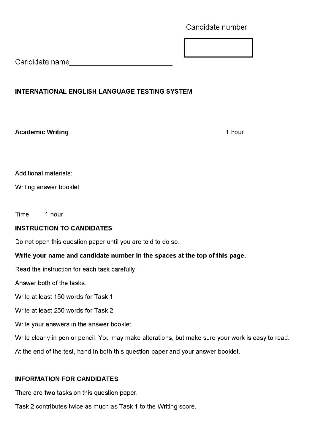Candidate number

Candidate name

# **INTERNATIONAL ENGLISH LANGUAGE TESTING SYSTEM**

**Academic Writing 1 hour contract of the United States of the United States 1 hour 1 hour 1 hour 1 hour 1 hour 1 hour** 

Additional materials:

Writing answer booklet

Time 1 hour

## **INSTRUCTION TO CANDIDATES**

Do not open this question paper until you are told to do so.

## **Write your name and candidate number in the spaces at the top of this page.**

Read the instruction for each task carefully.

Answer both of the tasks.

Write at least 150 words for Task 1.

Write at least 250 words for Task 2.

Write your answers in the answer booklet.

Write clearly in pen or pencil. You may make alterations, but make sure your work is easy to read.

At the end of the test, hand in both this question paper and your answer booklet.

## **INFORMATION FOR CANDIDATES**

There are **two** tasks on this question paper.

Task 2 contributes twice as much as Task 1 to the Writing score.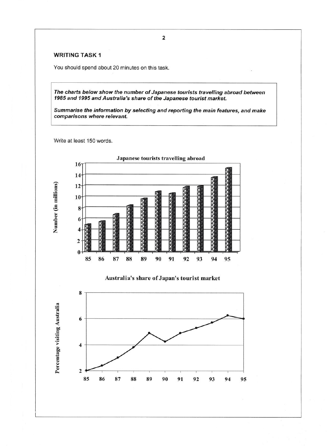### **WRITING TASK 1**

You should spend about 20 minutes on this task.

*The charts below show the number of Japanese tourists travelling abroad between 1985 and 1995 and Australia's share of the Japanese tourist market.*

*Summarise the information by selecting and reporting the main features, and make comparisons where relevant.*

Write at least 150 words.



## **Australia's share of Japan's tourist market**